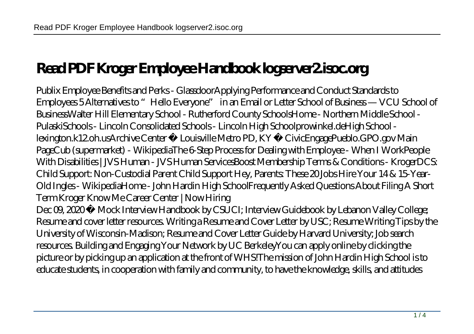## **Read PDF Kroger Employee Handbook logserver2.isoc.org**

Publix Employee Benefits and Perks - GlassdoorApplying Performance and Conduct Standards to Employees 5 Alternatives to "Hello Everyone" in an Email or Letter School of Business — VCU School of BusinessWalter Hill Elementary School - Rutherford County SchoolsHome - Northern Middle School - PulaskiSchools - Lincoln Consolidated Schools - Lincoln High Schoolprowinkel.deHigh School lexington.k12.oh.usArchive Center • Louisville Metro PD, KY • CivicEngagePueblo.GPO.gov Main PageCub (supermarket) - WikipediaThe 6-Step Process for Dealing with Employee - When I WorkPeople With Disabilities | JVS Human - JVS Human ServicesBoost Membership Terms & Conditions - KrogerDCS: Child Support: Non-Custodial Parent Child Support Hey, Parents: These 20 Jobs Hire Your 14 & 15-Year-Old Ingles - WikipediaHome - John Hardin High SchoolFrequently Asked Questions About Filing A Short Term Kroger Know Me Career Center | Now Hiring

Dec 09, 2020 · Mock Interview Handbook by CSUCI; Interview Guidebook by Lebanon Valley College; Resume and cover letter resources. Writing a Resume and Cover Letter by USC; Resume Writing Tips by the University of Wisconsin-Madison; Resume and Cover Letter Guide by Harvard University; Job search resources. Building and Engaging Your Network by UC BerkeleyYou can apply online by clicking the picture or by picking up an application at the front of WHS!The mission of John Hardin High School is to educate students, in cooperation with family and community, to have the knowledge, skills, and attitudes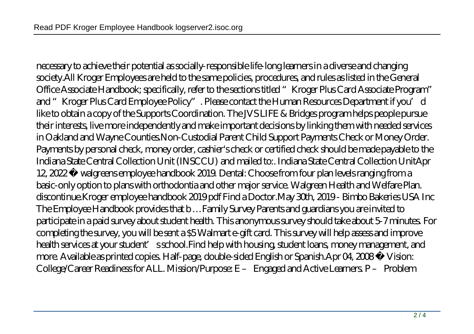necessary to achieve their potential as socially-responsible life-long learners in a diverse and changing society.All Kroger Employees are held to the same policies, procedures, and rules as listed in the General Office Associate Handbook; specifically, refer to the sections titled "Kroger Plus Card Associate Program" and "Kroger Plus Card Employee Policy". Please contact the Human Resources Department if you'd like to obtain a copy of the Supports Coordination. The JVS LIFE & Bridges program helps people pursue their interests, live more independently and make important decisions by linking them with needed services in Oakland and Wayne Counties.Non-Custodial Parent Child Support Payments Check or Money Order. Payments by personal check, money order, cashier's check or certified check should be made payable to the Indiana State Central Collection Unit (INSCCU) and mailed to:. Indiana State Central Collection UnitApr 12, 2022 · walgreens employee handbook 2019. Dental: Choose from four plan levels ranging from a basic-only option to plans with orthodontia and other major service. Walgreen Health and Welfare Plan. discontinue.Kroger employee handbook 2019 pdf Find a Doctor.May 30th, 2019 - Bimbo Bakeries USA Inc The Employee Handbook provides that b …Family Survey Parents and guardians you are invited to participate in a paid survey about student health. This anonymous survey should take about 5-7 minutes. For completing the survey, you will be sent a \$5 Walmart e-gift card. This survey will help assess and improve health services at your student' school.Find help with housing, student loans, money management, and more. Available as printed copies. Half-page, double-sided English or Spanish.Apr 04, 2008 · Vision: College/Career Readiness for ALL. Mission/Purpose: E – Engaged and Active Learners. P – Problem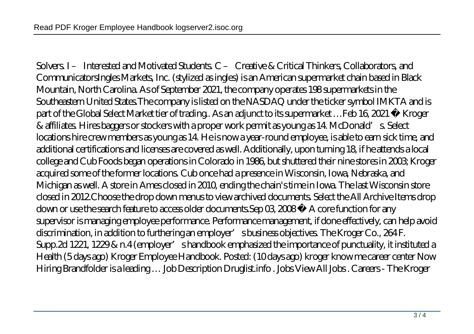Solvers. I – Interested and Motivated Students. C – Creative & Critical Thinkers, Collaborators, and CommunicatorsIngles Markets, Inc. (stylized as ingles) is an American supermarket chain based in Black Mountain, North Carolina. As of September 2021, the company operates 198 supermarkets in the Southeastern United States. The company is listed on the NASDAQ under the ticker symbol IMKTA and is part of the Global Select Market tier of trading.. As an adjunct to its supermarket …Feb 16, 2021 · Kroger & affiliates. Hires baggers or stockers with a proper work permit as young as 14. McDonald's. Select locations hire crew members as young as 14. He is now a year-round employee, is able to earn sick time, and additional certifications and licenses are covered as well. Additionally, upon turning 18, if he attends a local college and Cub Foods began operations in Colorado in 1986, but shuttered their nine stores in 2003; Kroger acquired some of the former locations. Cub once had a presence in Wisconsin, Iowa, Nebraska, and Michigan as well. A store in Ames closed in 2010, ending the chain's time in Iowa. The last Wisconsin store closed in 2012.Choose the drop down menus to view archived documents. Select the All Archive Items drop down or use the search feature to access older documents. Sep 03, 2008 · A core function for any supervisor is managing employee performance. Performance management, if done effectively, can help avoid discrimination, in addition to furthering an employer's business objectives. The Kroger Co., 264 F. Supp.2d 1221, 1229 & n.4 (employer' shandbook emphasized the importance of punctuality, it instituted a Health (5 days ago) Kroger Employee Handbook. Posted: (10 days ago) kroger know me career center Now Hiring Brandfolder is a leading … Job Description Druglist.info . Jobs View All Jobs . Careers - The Kroger